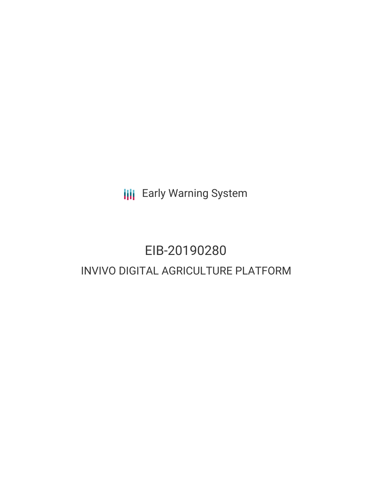**III** Early Warning System

# EIB-20190280 INVIVO DIGITAL AGRICULTURE PLATFORM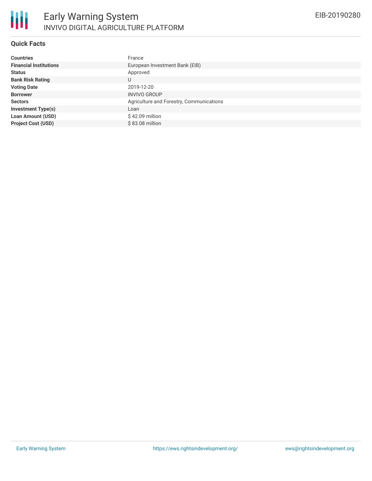#### **Quick Facts**

| <b>Countries</b>              | France                                   |
|-------------------------------|------------------------------------------|
| <b>Financial Institutions</b> | European Investment Bank (EIB)           |
| <b>Status</b>                 | Approved                                 |
| <b>Bank Risk Rating</b>       | U                                        |
| <b>Voting Date</b>            | 2019-12-20                               |
| <b>Borrower</b>               | <b>INVIVO GROUP</b>                      |
| <b>Sectors</b>                | Agriculture and Forestry, Communications |
| <b>Investment Type(s)</b>     | Loan                                     |
| <b>Loan Amount (USD)</b>      | $$42.09$ million                         |
| <b>Project Cost (USD)</b>     | \$83.08 million                          |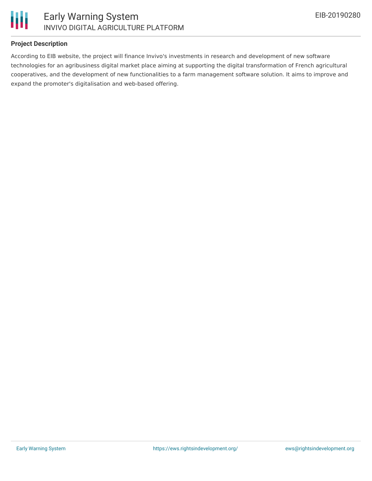

### **Project Description**

According to EIB website, the project will finance Invivo's investments in research and development of new software technologies for an agribusiness digital market place aiming at supporting the digital transformation of French agricultural cooperatives, and the development of new functionalities to a farm management software solution. It aims to improve and expand the promoter's digitalisation and web-based offering.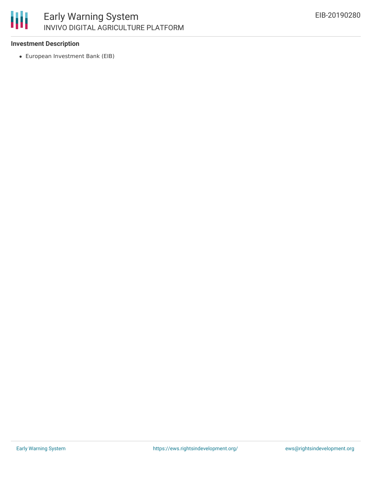

# **Investment Description**

European Investment Bank (EIB)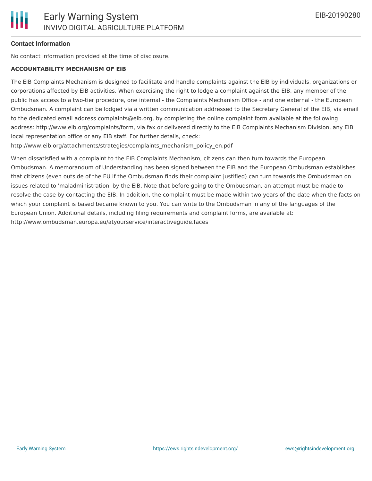#### **Contact Information**

No contact information provided at the time of disclosure.

#### **ACCOUNTABILITY MECHANISM OF EIB**

The EIB Complaints Mechanism is designed to facilitate and handle complaints against the EIB by individuals, organizations or corporations affected by EIB activities. When exercising the right to lodge a complaint against the EIB, any member of the public has access to a two-tier procedure, one internal - the Complaints Mechanism Office - and one external - the European Ombudsman. A complaint can be lodged via a written communication addressed to the Secretary General of the EIB, via email to the dedicated email address complaints@eib.org, by completing the online complaint form available at the following address: http://www.eib.org/complaints/form, via fax or delivered directly to the EIB Complaints Mechanism Division, any EIB local representation office or any EIB staff. For further details, check:

http://www.eib.org/attachments/strategies/complaints\_mechanism\_policy\_en.pdf

When dissatisfied with a complaint to the EIB Complaints Mechanism, citizens can then turn towards the European Ombudsman. A memorandum of Understanding has been signed between the EIB and the European Ombudsman establishes that citizens (even outside of the EU if the Ombudsman finds their complaint justified) can turn towards the Ombudsman on issues related to 'maladministration' by the EIB. Note that before going to the Ombudsman, an attempt must be made to resolve the case by contacting the EIB. In addition, the complaint must be made within two years of the date when the facts on which your complaint is based became known to you. You can write to the Ombudsman in any of the languages of the European Union. Additional details, including filing requirements and complaint forms, are available at: http://www.ombudsman.europa.eu/atyourservice/interactiveguide.faces